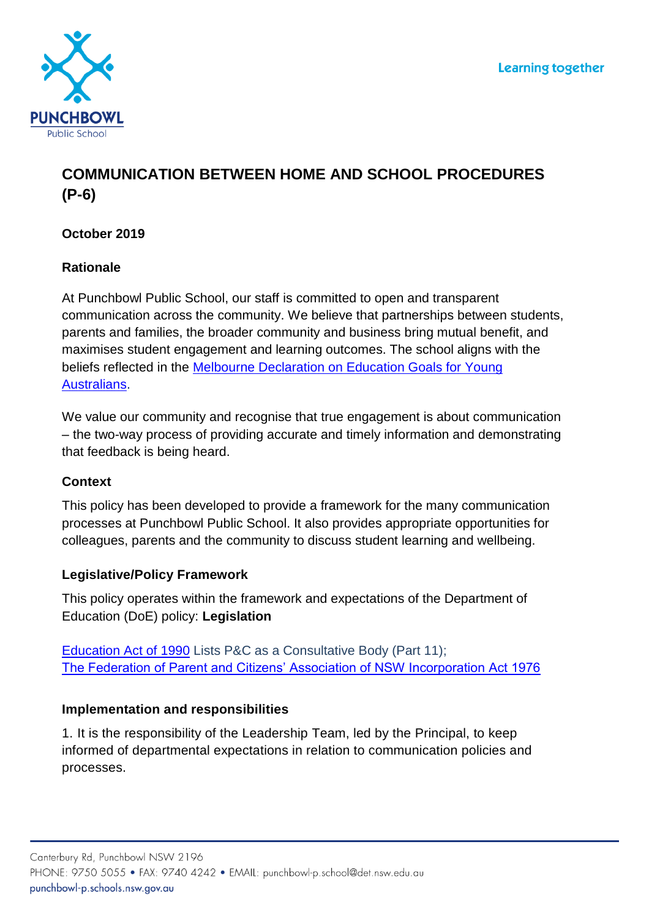

# **COMMUNICATION BETWEEN HOME AND SCHOOL PROCEDURES (P-6)**

# **October 2019**

## **Rationale**

At Punchbowl Public School, our staff is committed to open and transparent communication across the community. We believe that partnerships between students, parents and families, the broader community and business bring mutual benefit, and maximises student engagement and learning outcomes. The school aligns with the beliefs reflected in the [Melbourne Declaration on Education Goals for Young](http://www.curriculum.edu.au/verve/_resources/National_Declaration_on_the_Educational_Goals_for_Young_Australians.pdf)  [Australians.](http://www.curriculum.edu.au/verve/_resources/National_Declaration_on_the_Educational_Goals_for_Young_Australians.pdf)

We value our community and recognise that true engagement is about communication – the two-way process of providing accurate and timely information and demonstrating that feedback is being heard.

#### **Context**

This policy has been developed to provide a framework for the many communication processes at Punchbowl Public School. It also provides appropriate opportunities for colleagues, parents and the community to discuss student learning and wellbeing.

# **Legislative/Policy Framework**

This policy operates within the framework and expectations of the Department of Education (DoE) policy: **Legislation**

[Education Act of 1990](http://www.austlii.edu.au/au/legis/nsw/consol_act/ea1990104/) Lists P&C as a Consultative Body (Part 11); [The Federation of Parent and Citizens' Association of NSW Incorporation Act 1976](https://www.legislation.nsw.gov.au/#/view/act/1976/50)

# **Implementation and responsibilities**

1. It is the responsibility of the Leadership Team, led by the Principal, to keep informed of departmental expectations in relation to communication policies and processes.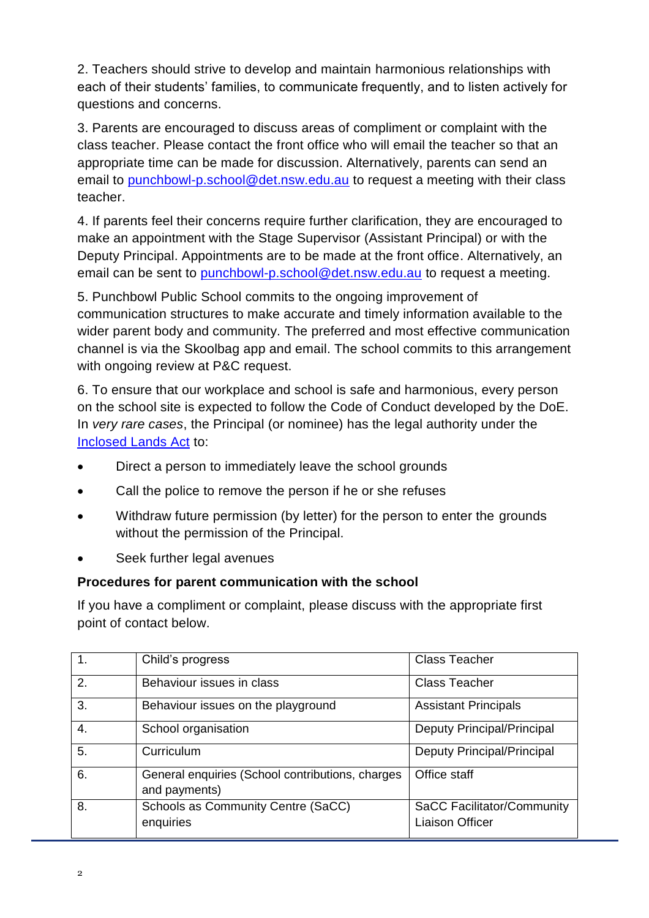2. Teachers should strive to develop and maintain harmonious relationships with each of their students' families, to communicate frequently, and to listen actively for questions and concerns.

3. Parents are encouraged to discuss areas of compliment or complaint with the class teacher. Please contact the front office who will email the teacher so that an appropriate time can be made for discussion. Alternatively, parents can send an email to [punchbowl-p.school@det.nsw.edu.au](mailto:punchbowl-p.school@det.nsw.edu.au) to request a meeting with their class teacher.

4. If parents feel their concerns require further clarification, they are encouraged to make an appointment with the Stage Supervisor (Assistant Principal) or with the Deputy Principal. Appointments are to be made at the front office. Alternatively, an email can be sent to [punchbowl-p.school@det.nsw.edu.au](mailto:punchbowl-p.school@det.nsw.edu.au) to request a meeting.

5. Punchbowl Public School commits to the ongoing improvement of communication structures to make accurate and timely information available to the wider parent body and community. The preferred and most effective communication channel is via the Skoolbag app and email. The school commits to this arrangement with ongoing review at P&C request.

6. To ensure that our workplace and school is safe and harmonious, every person on the school site is expected to follow the Code of Conduct developed by the DoE. In *very rare cases*, the Principal (or nominee) has the legal authority under the [Inclosed Lands Act](http://www.austlii.edu.au/au/legis/nsw/consol_act/ilpa1901264/) to:

- Direct a person to immediately leave the school grounds
- Call the police to remove the person if he or she refuses
- Withdraw future permission (by letter) for the person to enter the grounds without the permission of the Principal.
- Seek further legal avenues

#### **Procedures for parent communication with the school**

If you have a compliment or complaint, please discuss with the appropriate first point of contact below.

| $\overline{1}$ . | Child's progress                                                  | <b>Class Teacher</b>                                        |
|------------------|-------------------------------------------------------------------|-------------------------------------------------------------|
| $\overline{2}$ . | Behaviour issues in class                                         | <b>Class Teacher</b>                                        |
| $\overline{3}$ . | Behaviour issues on the playground                                | <b>Assistant Principals</b>                                 |
| $\overline{4}$ . | School organisation                                               | Deputy Principal/Principal                                  |
| $\overline{5}$ . | Curriculum                                                        | Deputy Principal/Principal                                  |
| 6.               | General enquiries (School contributions, charges<br>and payments) | Office staff                                                |
| 8.               | Schools as Community Centre (SaCC)<br>enquiries                   | <b>SaCC Facilitator/Community</b><br><b>Liaison Officer</b> |